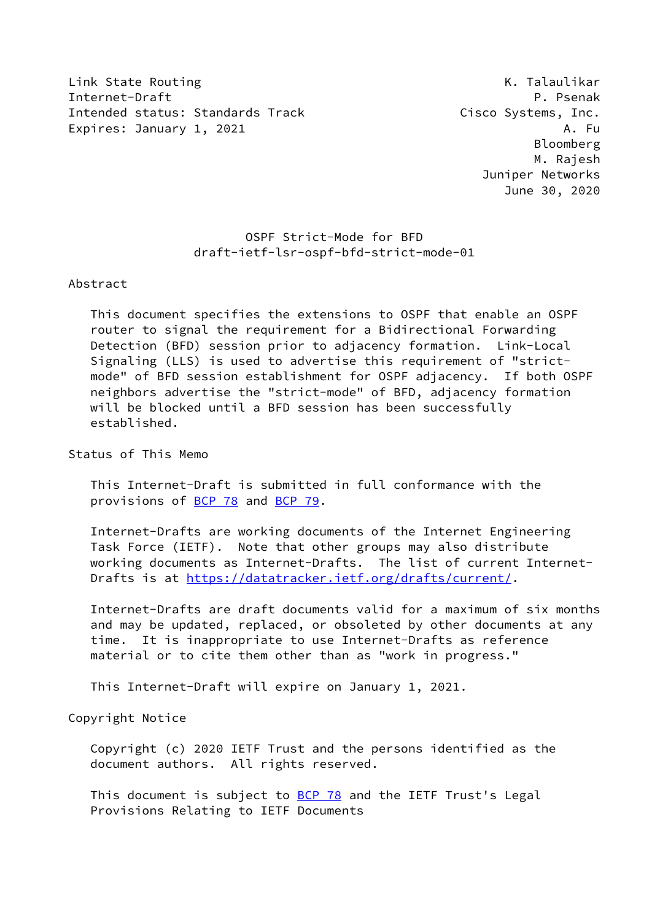Link State Routing The Communication of the Communication of the K. Talaulikar Internet-Draft P. Psenak Intended status: Standards Track Cisco Systems, Inc. Expires: January 1, 2021 A. Fu

 Bloomberg M. Rajesh Juniper Networks June 30, 2020

 OSPF Strict-Mode for BFD draft-ietf-lsr-ospf-bfd-strict-mode-01

## Abstract

 This document specifies the extensions to OSPF that enable an OSPF router to signal the requirement for a Bidirectional Forwarding Detection (BFD) session prior to adjacency formation. Link-Local Signaling (LLS) is used to advertise this requirement of "strict mode" of BFD session establishment for OSPF adjacency. If both OSPF neighbors advertise the "strict-mode" of BFD, adjacency formation will be blocked until a BFD session has been successfully established.

Status of This Memo

 This Internet-Draft is submitted in full conformance with the provisions of [BCP 78](https://datatracker.ietf.org/doc/pdf/bcp78) and [BCP 79](https://datatracker.ietf.org/doc/pdf/bcp79).

 Internet-Drafts are working documents of the Internet Engineering Task Force (IETF). Note that other groups may also distribute working documents as Internet-Drafts. The list of current Internet- Drafts is at<https://datatracker.ietf.org/drafts/current/>.

 Internet-Drafts are draft documents valid for a maximum of six months and may be updated, replaced, or obsoleted by other documents at any time. It is inappropriate to use Internet-Drafts as reference material or to cite them other than as "work in progress."

This Internet-Draft will expire on January 1, 2021.

Copyright Notice

 Copyright (c) 2020 IETF Trust and the persons identified as the document authors. All rights reserved.

This document is subject to **[BCP 78](https://datatracker.ietf.org/doc/pdf/bcp78)** and the IETF Trust's Legal Provisions Relating to IETF Documents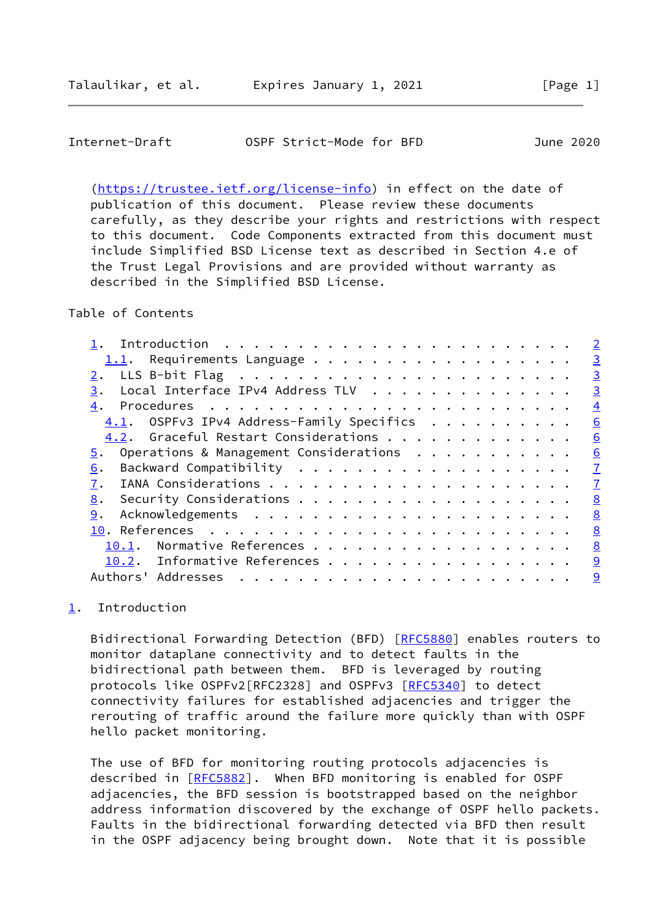<span id="page-1-1"></span>

| OSPF Strict-Mode for BFD<br>Internet-Draft<br>June 2020 |
|---------------------------------------------------------|
|---------------------------------------------------------|

 [\(https://trustee.ietf.org/license-info](https://trustee.ietf.org/license-info)) in effect on the date of publication of this document. Please review these documents carefully, as they describe your rights and restrictions with respect to this document. Code Components extracted from this document must include Simplified BSD License text as described in Section 4.e of the Trust Legal Provisions and are provided without warranty as described in the Simplified BSD License.

Table of Contents

|                                              | $\overline{2}$ |
|----------------------------------------------|----------------|
| Requirements Language<br>1.1.                | $\overline{3}$ |
|                                              | $\overline{3}$ |
| Local Interface IPv4 Address TLV<br>3.       | $\overline{3}$ |
| 4.                                           | $\overline{4}$ |
| $4.1.$ OSPFv3 IPv4 Address-Family Specifics  | 6              |
| 4.2. Graceful Restart Considerations         | 6              |
| Operations & Management Considerations<br>5. | 6              |
| 6.                                           | $\overline{1}$ |
| 7.                                           | $\mathbf I$    |
| 8.                                           | 8              |
| 9.                                           | 8              |
|                                              | 8              |
| Normative References<br>10.1.                | 8              |
| 10.2. Informative References                 | 9              |
| Authors' Addresses                           | 9              |
|                                              |                |

<span id="page-1-0"></span>[1](#page-1-0). Introduction

Bidirectional Forwarding Detection (BFD) [\[RFC5880](https://datatracker.ietf.org/doc/pdf/rfc5880)] enables routers to monitor dataplane connectivity and to detect faults in the bidirectional path between them. BFD is leveraged by routing protocols like OSPFv2[RFC2328] and OSPFv3 [[RFC5340](https://datatracker.ietf.org/doc/pdf/rfc5340)] to detect connectivity failures for established adjacencies and trigger the rerouting of traffic around the failure more quickly than with OSPF hello packet monitoring.

 The use of BFD for monitoring routing protocols adjacencies is described in [\[RFC5882](https://datatracker.ietf.org/doc/pdf/rfc5882)]. When BFD monitoring is enabled for OSPF adjacencies, the BFD session is bootstrapped based on the neighbor address information discovered by the exchange of OSPF hello packets. Faults in the bidirectional forwarding detected via BFD then result in the OSPF adjacency being brought down. Note that it is possible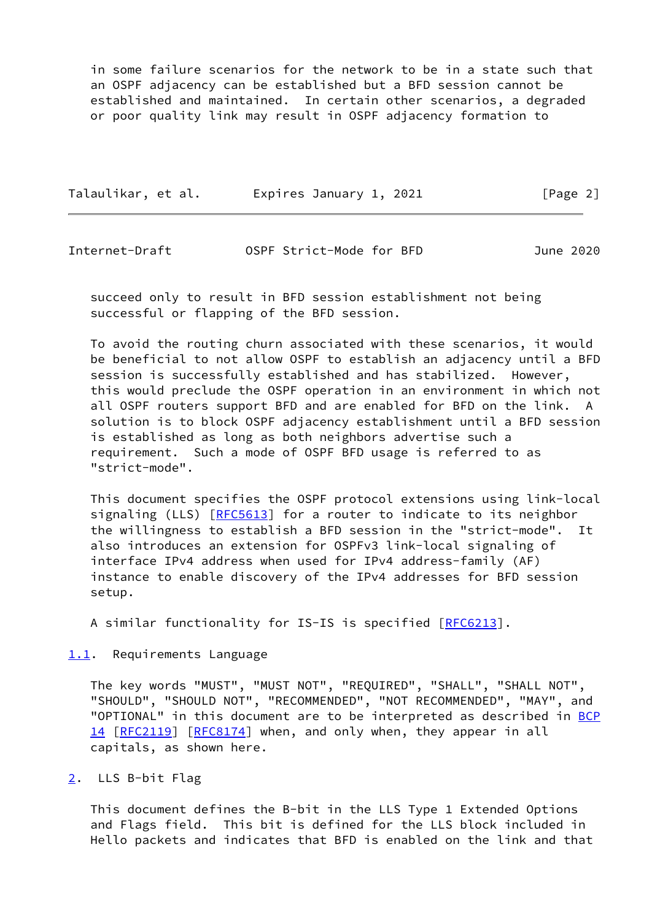in some failure scenarios for the network to be in a state such that an OSPF adjacency can be established but a BFD session cannot be established and maintained. In certain other scenarios, a degraded or poor quality link may result in OSPF adjacency formation to

| Talaulikar, et al. | Expires January 1, 2021 | [Page 2] |
|--------------------|-------------------------|----------|
|--------------------|-------------------------|----------|

<span id="page-2-1"></span>Internet-Draft OSPF Strict-Mode for BFD June 2020

 succeed only to result in BFD session establishment not being successful or flapping of the BFD session.

 To avoid the routing churn associated with these scenarios, it would be beneficial to not allow OSPF to establish an adjacency until a BFD session is successfully established and has stabilized. However, this would preclude the OSPF operation in an environment in which not all OSPF routers support BFD and are enabled for BFD on the link. A solution is to block OSPF adjacency establishment until a BFD session is established as long as both neighbors advertise such a requirement. Such a mode of OSPF BFD usage is referred to as "strict-mode".

 This document specifies the OSPF protocol extensions using link-local signaling (LLS) [\[RFC5613](https://datatracker.ietf.org/doc/pdf/rfc5613)] for a router to indicate to its neighbor the willingness to establish a BFD session in the "strict-mode". It also introduces an extension for OSPFv3 link-local signaling of interface IPv4 address when used for IPv4 address-family (AF) instance to enable discovery of the IPv4 addresses for BFD session setup.

A similar functionality for IS-IS is specified [\[RFC6213](https://datatracker.ietf.org/doc/pdf/rfc6213)].

<span id="page-2-0"></span>[1.1](#page-2-0). Requirements Language

 The key words "MUST", "MUST NOT", "REQUIRED", "SHALL", "SHALL NOT", "SHOULD", "SHOULD NOT", "RECOMMENDED", "NOT RECOMMENDED", "MAY", and "OPTIONAL" in this document are to be interpreted as described in [BCP](https://datatracker.ietf.org/doc/pdf/bcp14) [14](https://datatracker.ietf.org/doc/pdf/bcp14) [[RFC2119\]](https://datatracker.ietf.org/doc/pdf/rfc2119) [\[RFC8174](https://datatracker.ietf.org/doc/pdf/rfc8174)] when, and only when, they appear in all capitals, as shown here.

## <span id="page-2-2"></span>[2](#page-2-2). LLS B-bit Flag

 This document defines the B-bit in the LLS Type 1 Extended Options and Flags field. This bit is defined for the LLS block included in Hello packets and indicates that BFD is enabled on the link and that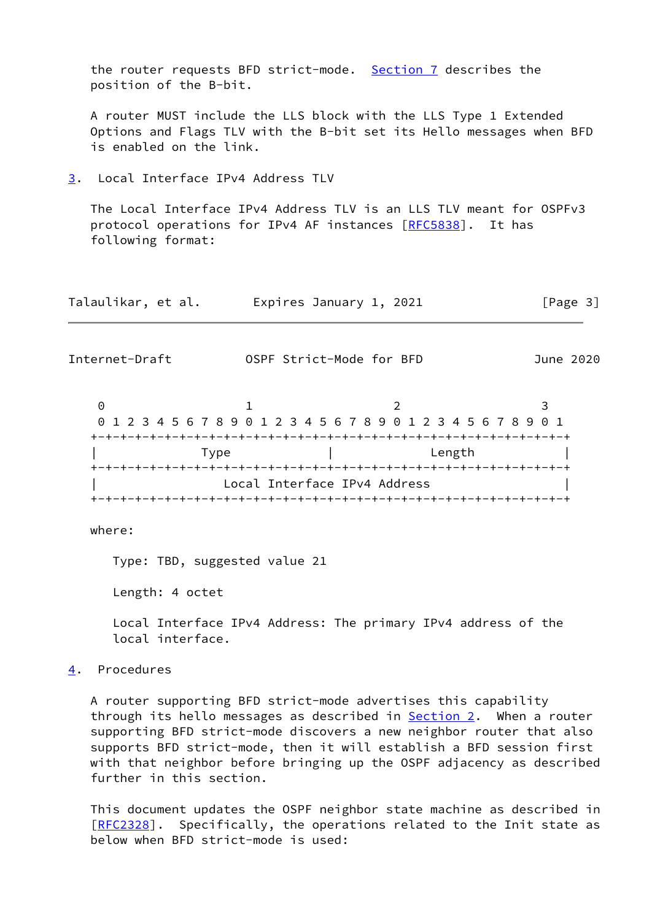<span id="page-3-0"></span>

| position of the B-bit.                           |                                                                                                                                | the router requests BFD strict-mode. Section 7 describes the                                                                             |           |
|--------------------------------------------------|--------------------------------------------------------------------------------------------------------------------------------|------------------------------------------------------------------------------------------------------------------------------------------|-----------|
| is enabled on the link.                          |                                                                                                                                | A router MUST include the LLS block with the LLS Type 1 Extended<br>Options and Flags TLV with the B-bit set its Hello messages when BFD |           |
| Local Interface IPv4 Address TLV<br>3.           |                                                                                                                                |                                                                                                                                          |           |
| following format:                                |                                                                                                                                | The Local Interface IPv4 Address TLV is an LLS TLV meant for OSPFv3<br>protocol operations for IPv4 AF instances [RFC5838]. It has       |           |
| Talaulikar, et al.       Expires January 1, 2021 |                                                                                                                                |                                                                                                                                          | [Page 3]  |
| Internet-Draft                                   | OSPF Strict-Mode for BFD                                                                                                       |                                                                                                                                          | June 2020 |
| $\Theta$                                         | $\mathbf{1}$<br>Type a contract the contract of the contract of the contract of the contract of the contract of the contract o | 2<br>01234567890123456789012345678901<br>Length                                                                                          | 3         |
|                                                  | Local Interface IPv4 Address                                                                                                   |                                                                                                                                          |           |
| where:                                           |                                                                                                                                |                                                                                                                                          |           |
| Type: TBD, suggested value 21                    |                                                                                                                                |                                                                                                                                          |           |

<span id="page-3-2"></span>Length: 4 octet

 Local Interface IPv4 Address: The primary IPv4 address of the local interface.

<span id="page-3-1"></span>[4](#page-3-1). Procedures

 A router supporting BFD strict-mode advertises this capability through its hello messages as described in **[Section 2.](#page-2-2)** When a router supporting BFD strict-mode discovers a new neighbor router that also supports BFD strict-mode, then it will establish a BFD session first with that neighbor before bringing up the OSPF adjacency as described further in this section.

 This document updates the OSPF neighbor state machine as described in [\[RFC2328](https://datatracker.ietf.org/doc/pdf/rfc2328)]. Specifically, the operations related to the Init state as below when BFD strict-mode is used: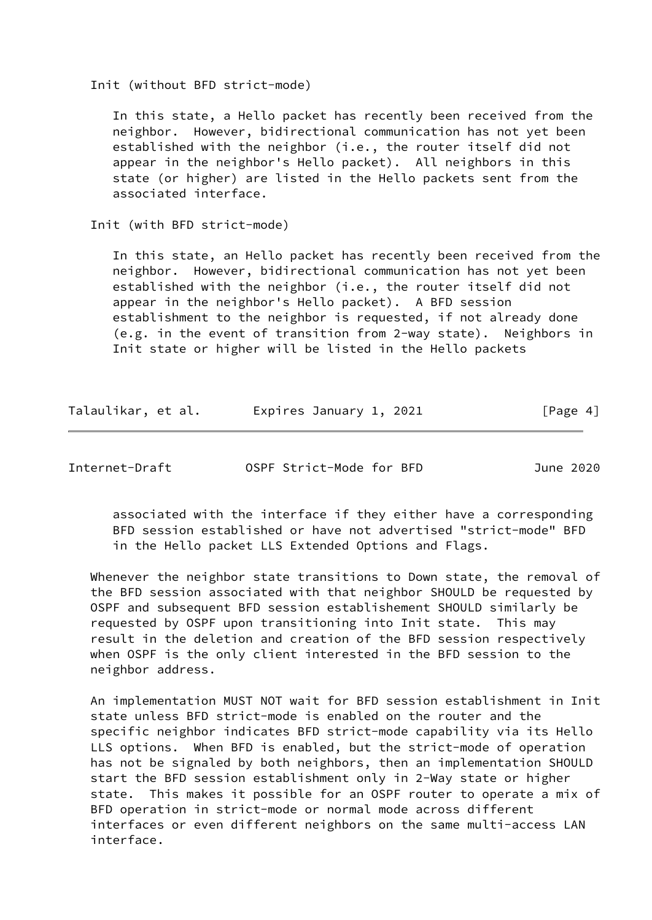Init (without BFD strict-mode)

 In this state, a Hello packet has recently been received from the neighbor. However, bidirectional communication has not yet been established with the neighbor (i.e., the router itself did not appear in the neighbor's Hello packet). All neighbors in this state (or higher) are listed in the Hello packets sent from the associated interface.

Init (with BFD strict-mode)

 In this state, an Hello packet has recently been received from the neighbor. However, bidirectional communication has not yet been established with the neighbor (i.e., the router itself did not appear in the neighbor's Hello packet). A BFD session establishment to the neighbor is requested, if not already done (e.g. in the event of transition from 2-way state). Neighbors in Init state or higher will be listed in the Hello packets

| Talaulikar, et al. | Expires January 1, 2021 | [Page 4] |
|--------------------|-------------------------|----------|
|--------------------|-------------------------|----------|

Internet-Draft OSPF Strict-Mode for BFD June 2020

 associated with the interface if they either have a corresponding BFD session established or have not advertised "strict-mode" BFD in the Hello packet LLS Extended Options and Flags.

 Whenever the neighbor state transitions to Down state, the removal of the BFD session associated with that neighbor SHOULD be requested by OSPF and subsequent BFD session establishement SHOULD similarly be requested by OSPF upon transitioning into Init state. This may result in the deletion and creation of the BFD session respectively when OSPF is the only client interested in the BFD session to the neighbor address.

 An implementation MUST NOT wait for BFD session establishment in Init state unless BFD strict-mode is enabled on the router and the specific neighbor indicates BFD strict-mode capability via its Hello LLS options. When BFD is enabled, but the strict-mode of operation has not be signaled by both neighbors, then an implementation SHOULD start the BFD session establishment only in 2-Way state or higher state. This makes it possible for an OSPF router to operate a mix of BFD operation in strict-mode or normal mode across different interfaces or even different neighbors on the same multi-access LAN interface.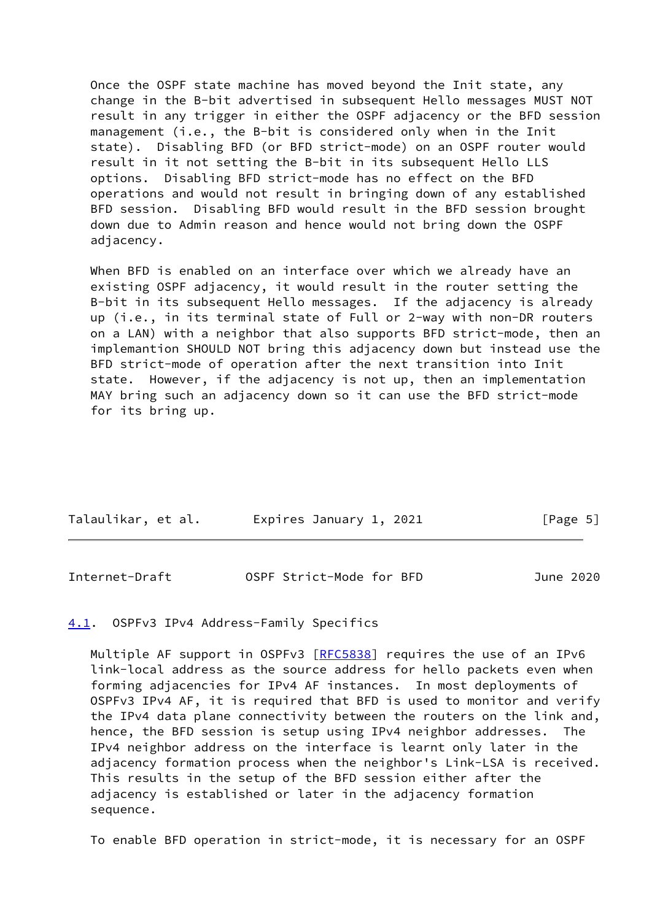Once the OSPF state machine has moved beyond the Init state, any change in the B-bit advertised in subsequent Hello messages MUST NOT result in any trigger in either the OSPF adjacency or the BFD session management (i.e., the B-bit is considered only when in the Init state). Disabling BFD (or BFD strict-mode) on an OSPF router would result in it not setting the B-bit in its subsequent Hello LLS options. Disabling BFD strict-mode has no effect on the BFD operations and would not result in bringing down of any established BFD session. Disabling BFD would result in the BFD session brought down due to Admin reason and hence would not bring down the OSPF adjacency.

 When BFD is enabled on an interface over which we already have an existing OSPF adjacency, it would result in the router setting the B-bit in its subsequent Hello messages. If the adjacency is already up (i.e., in its terminal state of Full or 2-way with non-DR routers on a LAN) with a neighbor that also supports BFD strict-mode, then an implemantion SHOULD NOT bring this adjacency down but instead use the BFD strict-mode of operation after the next transition into Init state. However, if the adjacency is not up, then an implementation MAY bring such an adjacency down so it can use the BFD strict-mode for its bring up.

| Talaulikar, et al. | Expires January 1, 2021 | [Page 5] |
|--------------------|-------------------------|----------|
|                    |                         |          |

<span id="page-5-1"></span>Internet-Draft OSPF Strict-Mode for BFD June 2020

## <span id="page-5-0"></span>[4.1](#page-5-0). OSPFv3 IPv4 Address-Family Specifics

Multiple AF support in OSPFv3 [[RFC5838](https://datatracker.ietf.org/doc/pdf/rfc5838)] requires the use of an IPv6 link-local address as the source address for hello packets even when forming adjacencies for IPv4 AF instances. In most deployments of OSPFv3 IPv4 AF, it is required that BFD is used to monitor and verify the IPv4 data plane connectivity between the routers on the link and, hence, the BFD session is setup using IPv4 neighbor addresses. The IPv4 neighbor address on the interface is learnt only later in the adjacency formation process when the neighbor's Link-LSA is received. This results in the setup of the BFD session either after the adjacency is established or later in the adjacency formation sequence.

To enable BFD operation in strict-mode, it is necessary for an OSPF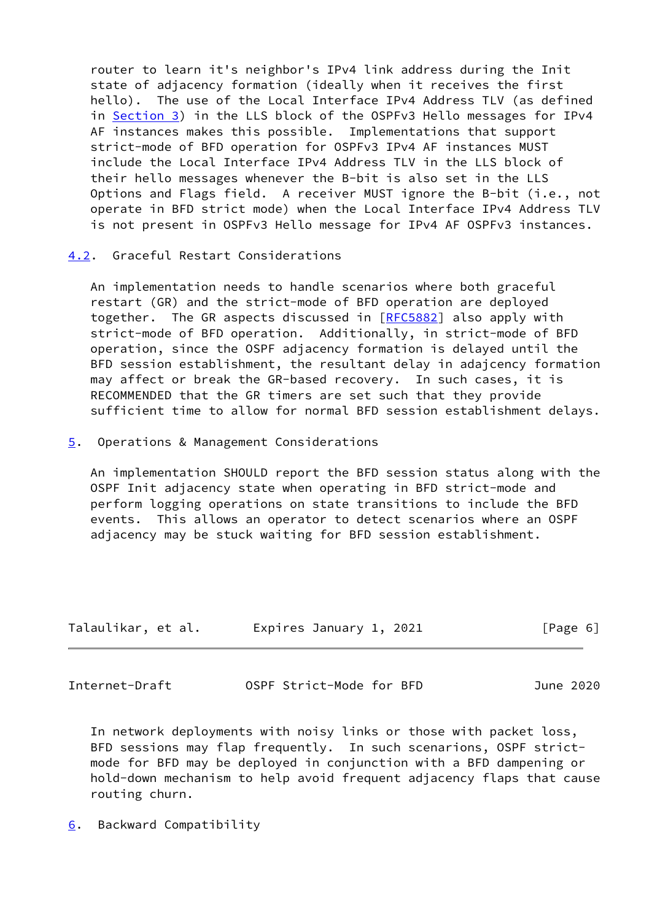router to learn it's neighbor's IPv4 link address during the Init state of adjacency formation (ideally when it receives the first hello). The use of the Local Interface IPv4 Address TLV (as defined in [Section 3\)](#page-3-0) in the LLS block of the OSPFv3 Hello messages for IPv4 AF instances makes this possible. Implementations that support strict-mode of BFD operation for OSPFv3 IPv4 AF instances MUST include the Local Interface IPv4 Address TLV in the LLS block of their hello messages whenever the B-bit is also set in the LLS Options and Flags field. A receiver MUST ignore the B-bit (i.e., not operate in BFD strict mode) when the Local Interface IPv4 Address TLV is not present in OSPFv3 Hello message for IPv4 AF OSPFv3 instances.

## <span id="page-6-0"></span>[4.2](#page-6-0). Graceful Restart Considerations

 An implementation needs to handle scenarios where both graceful restart (GR) and the strict-mode of BFD operation are deployed together. The GR aspects discussed in [\[RFC5882](https://datatracker.ietf.org/doc/pdf/rfc5882)] also apply with strict-mode of BFD operation. Additionally, in strict-mode of BFD operation, since the OSPF adjacency formation is delayed until the BFD session establishment, the resultant delay in adajcency formation may affect or break the GR-based recovery. In such cases, it is RECOMMENDED that the GR timers are set such that they provide sufficient time to allow for normal BFD session establishment delays.

<span id="page-6-1"></span>[5](#page-6-1). Operations & Management Considerations

 An implementation SHOULD report the BFD session status along with the OSPF Init adjacency state when operating in BFD strict-mode and perform logging operations on state transitions to include the BFD events. This allows an operator to detect scenarios where an OSPF adjacency may be stuck waiting for BFD session establishment.

| Talaulikar, et al. | Expires January 1, 2021 | [Page 6] |
|--------------------|-------------------------|----------|
|--------------------|-------------------------|----------|

<span id="page-6-3"></span>Internet-Draft OSPF Strict-Mode for BFD June 2020

 In network deployments with noisy links or those with packet loss, BFD sessions may flap frequently. In such scenarions, OSPF strict mode for BFD may be deployed in conjunction with a BFD dampening or hold-down mechanism to help avoid frequent adjacency flaps that cause routing churn.

<span id="page-6-2"></span>[6](#page-6-2). Backward Compatibility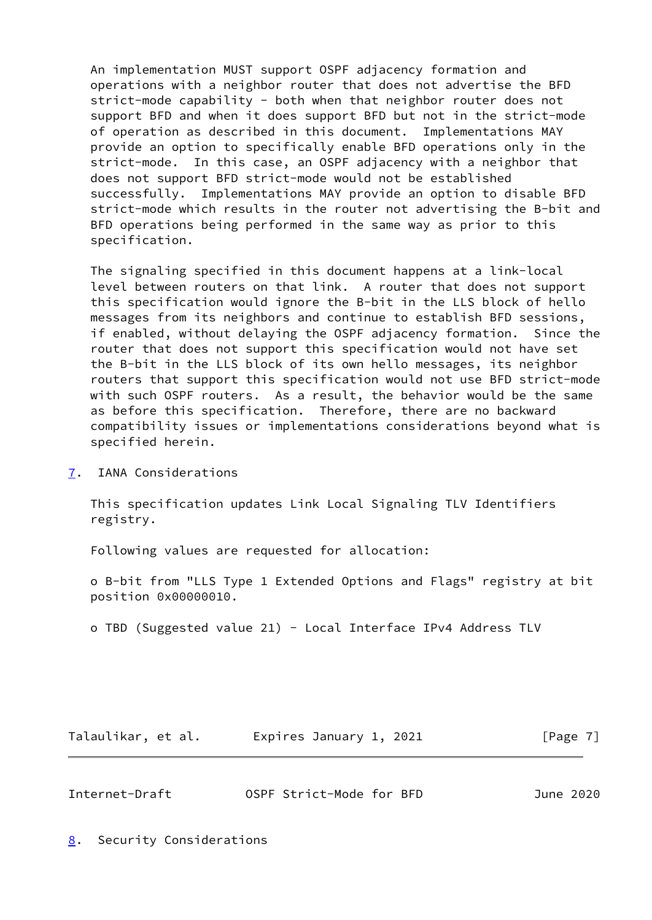An implementation MUST support OSPF adjacency formation and operations with a neighbor router that does not advertise the BFD strict-mode capability - both when that neighbor router does not support BFD and when it does support BFD but not in the strict-mode of operation as described in this document. Implementations MAY provide an option to specifically enable BFD operations only in the strict-mode. In this case, an OSPF adjacency with a neighbor that does not support BFD strict-mode would not be established successfully. Implementations MAY provide an option to disable BFD strict-mode which results in the router not advertising the B-bit and BFD operations being performed in the same way as prior to this specification.

 The signaling specified in this document happens at a link-local level between routers on that link. A router that does not support this specification would ignore the B-bit in the LLS block of hello messages from its neighbors and continue to establish BFD sessions, if enabled, without delaying the OSPF adjacency formation. Since the router that does not support this specification would not have set the B-bit in the LLS block of its own hello messages, its neighbor routers that support this specification would not use BFD strict-mode with such OSPF routers. As a result, the behavior would be the same as before this specification. Therefore, there are no backward compatibility issues or implementations considerations beyond what is specified herein.

<span id="page-7-0"></span>[7](#page-7-0). IANA Considerations

 This specification updates Link Local Signaling TLV Identifiers registry.

Following values are requested for allocation:

 o B-bit from "LLS Type 1 Extended Options and Flags" registry at bit position 0x00000010.

o TBD (Suggested value 21) - Local Interface IPv4 Address TLV

Talaulikar, et al. Expires January 1, 2021 [Page 7]

<span id="page-7-2"></span>

| Internet-Draft | OSPF Strict-Mode for BFD | June 2020 |
|----------------|--------------------------|-----------|
|                |                          |           |

<span id="page-7-1"></span>[8](#page-7-1). Security Considerations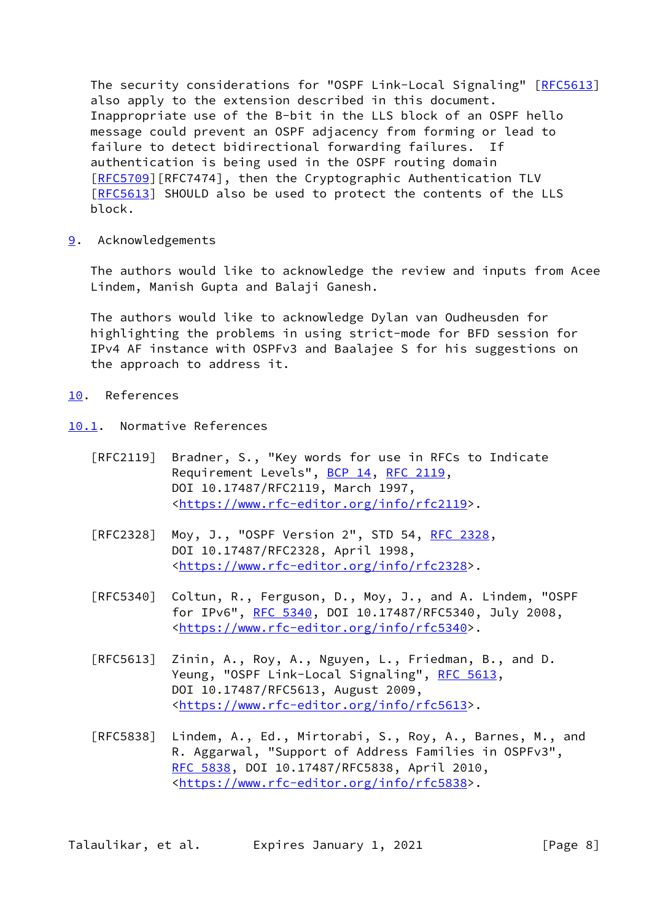The security considerations for "OSPF Link-Local Signaling" [\[RFC5613](https://datatracker.ietf.org/doc/pdf/rfc5613)] also apply to the extension described in this document. Inappropriate use of the B-bit in the LLS block of an OSPF hello message could prevent an OSPF adjacency from forming or lead to failure to detect bidirectional forwarding failures. If authentication is being used in the OSPF routing domain [\[RFC5709](https://datatracker.ietf.org/doc/pdf/rfc5709)][RFC7474], then the Cryptographic Authentication TLV [\[RFC5613](https://datatracker.ietf.org/doc/pdf/rfc5613)] SHOULD also be used to protect the contents of the LLS block.

<span id="page-8-0"></span>[9](#page-8-0). Acknowledgements

 The authors would like to acknowledge the review and inputs from Acee Lindem, Manish Gupta and Balaji Ganesh.

 The authors would like to acknowledge Dylan van Oudheusden for highlighting the problems in using strict-mode for BFD session for IPv4 AF instance with OSPFv3 and Baalajee S for his suggestions on the approach to address it.

- <span id="page-8-1"></span>[10.](#page-8-1) References
- <span id="page-8-2"></span>[10.1](#page-8-2). Normative References
	- [RFC2119] Bradner, S., "Key words for use in RFCs to Indicate Requirement Levels", [BCP 14](https://datatracker.ietf.org/doc/pdf/bcp14), [RFC 2119](https://datatracker.ietf.org/doc/pdf/rfc2119), DOI 10.17487/RFC2119, March 1997, <[https://www.rfc-editor.org/info/rfc2119>](https://www.rfc-editor.org/info/rfc2119).
	- [RFC2328] Moy, J., "OSPF Version 2", STD 54, [RFC 2328](https://datatracker.ietf.org/doc/pdf/rfc2328), DOI 10.17487/RFC2328, April 1998, <[https://www.rfc-editor.org/info/rfc2328>](https://www.rfc-editor.org/info/rfc2328).
	- [RFC5340] Coltun, R., Ferguson, D., Moy, J., and A. Lindem, "OSPF for IPv6", [RFC 5340](https://datatracker.ietf.org/doc/pdf/rfc5340), DOI 10.17487/RFC5340, July 2008, <[https://www.rfc-editor.org/info/rfc5340>](https://www.rfc-editor.org/info/rfc5340).
	- [RFC5613] Zinin, A., Roy, A., Nguyen, L., Friedman, B., and D. Yeung, "OSPF Link-Local Signaling", [RFC 5613,](https://datatracker.ietf.org/doc/pdf/rfc5613) DOI 10.17487/RFC5613, August 2009, <[https://www.rfc-editor.org/info/rfc5613>](https://www.rfc-editor.org/info/rfc5613).
	- [RFC5838] Lindem, A., Ed., Mirtorabi, S., Roy, A., Barnes, M., and R. Aggarwal, "Support of Address Families in OSPFv3", [RFC 5838,](https://datatracker.ietf.org/doc/pdf/rfc5838) DOI 10.17487/RFC5838, April 2010, <[https://www.rfc-editor.org/info/rfc5838>](https://www.rfc-editor.org/info/rfc5838).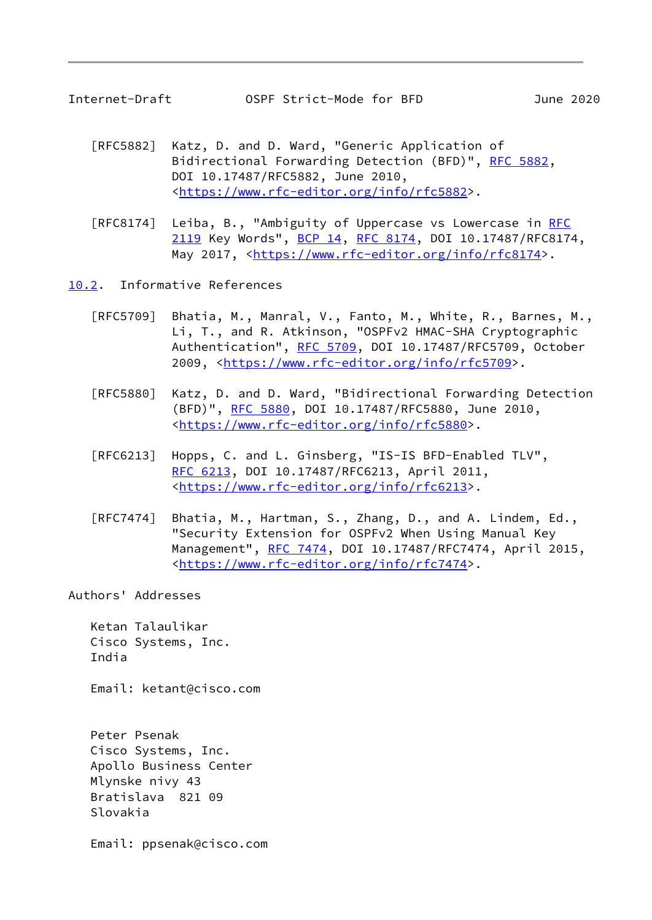- <span id="page-9-1"></span> [RFC5882] Katz, D. and D. Ward, "Generic Application of Bidirectional Forwarding Detection (BFD)", [RFC 5882](https://datatracker.ietf.org/doc/pdf/rfc5882), DOI 10.17487/RFC5882, June 2010, <[https://www.rfc-editor.org/info/rfc5882>](https://www.rfc-editor.org/info/rfc5882).
- [RFC8174] Leiba, B., "Ambiguity of Uppercase vs Lowercase in [RFC](https://datatracker.ietf.org/doc/pdf/rfc2119) [2119](https://datatracker.ietf.org/doc/pdf/rfc2119) Key Words", [BCP 14](https://datatracker.ietf.org/doc/pdf/bcp14), [RFC 8174,](https://datatracker.ietf.org/doc/pdf/rfc8174) DOI 10.17487/RFC8174, May 2017, [<https://www.rfc-editor.org/info/rfc8174](https://www.rfc-editor.org/info/rfc8174)>.
- <span id="page-9-0"></span>[10.2](#page-9-0). Informative References
	- [RFC5709] Bhatia, M., Manral, V., Fanto, M., White, R., Barnes, M., Li, T., and R. Atkinson, "OSPFv2 HMAC-SHA Cryptographic Authentication", [RFC 5709,](https://datatracker.ietf.org/doc/pdf/rfc5709) DOI 10.17487/RFC5709, October 2009, [<https://www.rfc-editor.org/info/rfc5709](https://www.rfc-editor.org/info/rfc5709)>.
	- [RFC5880] Katz, D. and D. Ward, "Bidirectional Forwarding Detection (BFD)", [RFC 5880,](https://datatracker.ietf.org/doc/pdf/rfc5880) DOI 10.17487/RFC5880, June 2010, <[https://www.rfc-editor.org/info/rfc5880>](https://www.rfc-editor.org/info/rfc5880).
	- [RFC6213] Hopps, C. and L. Ginsberg, "IS-IS BFD-Enabled TLV", [RFC 6213,](https://datatracker.ietf.org/doc/pdf/rfc6213) DOI 10.17487/RFC6213, April 2011, <[https://www.rfc-editor.org/info/rfc6213>](https://www.rfc-editor.org/info/rfc6213).
	- [RFC7474] Bhatia, M., Hartman, S., Zhang, D., and A. Lindem, Ed., "Security Extension for OSPFv2 When Using Manual Key Management", [RFC 7474](https://datatracker.ietf.org/doc/pdf/rfc7474), DOI 10.17487/RFC7474, April 2015, <[https://www.rfc-editor.org/info/rfc7474>](https://www.rfc-editor.org/info/rfc7474).

Authors' Addresses

 Ketan Talaulikar Cisco Systems, Inc. India

Email: ketant@cisco.com

 Peter Psenak Cisco Systems, Inc. Apollo Business Center Mlynske nivy 43 Bratislava 821 09 Slovakia

Email: ppsenak@cisco.com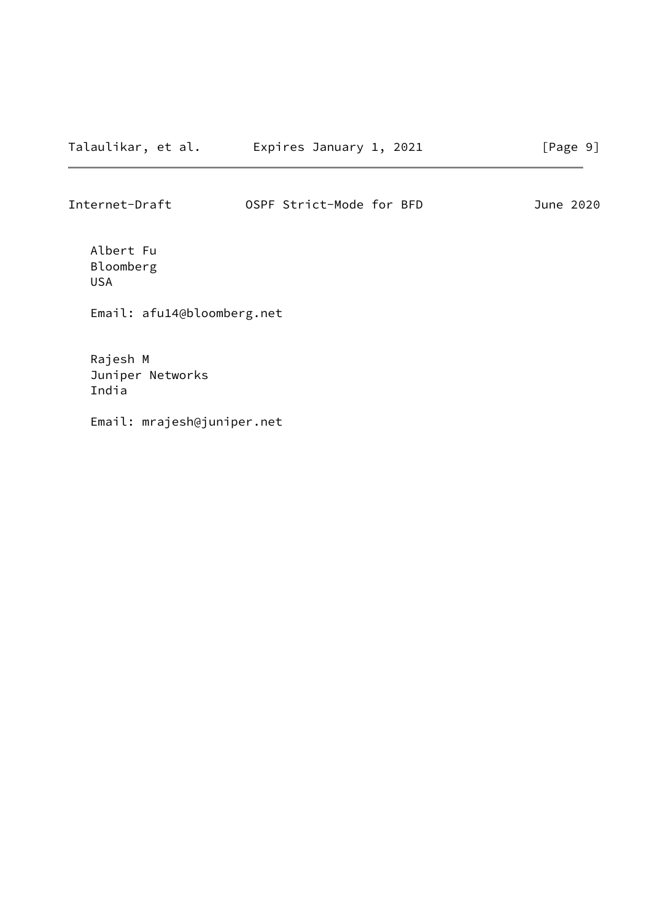Internet-Draft OSPF Strict-Mode for BFD June 2020

 Albert Fu Bloomberg USA

Email: afu14@bloomberg.net

 Rajesh M Juniper Networks India

Email: mrajesh@juniper.net